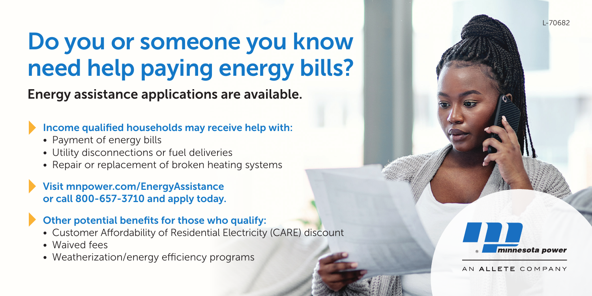# Do you or someone you know need help paying energy bills?

Energy assistance applications are available.

### Income qualified households may receive help with:

- Payment of energy bills
- Utility disconnections or fuel deliveries
- Repair or replacement of broken heating systems

Visit mnpower.com/EnergyAssistance or call 800-657-3710 and apply today.

### Other potential benefits for those who qualify:

- Customer Affordability of Residential Electricity (CARE) discount
- Waived fees
- Weatherization/energy efficiency programs



L-70682

AN ALLETE COMPANY